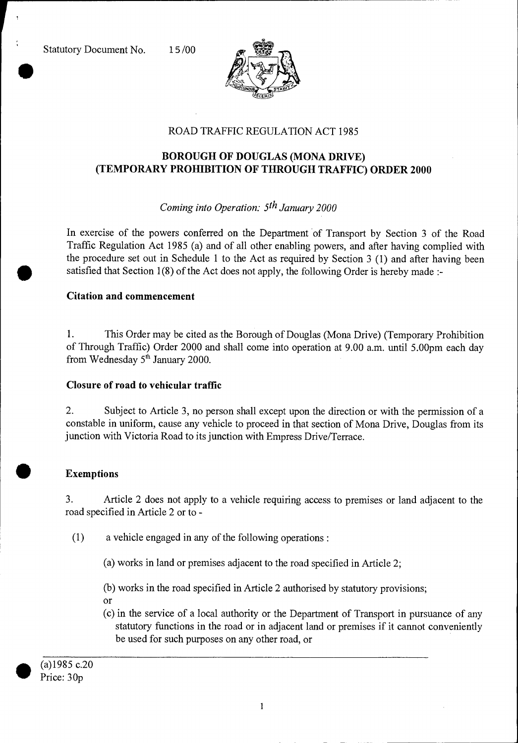



# ROAD TRAFFIC REGULATION ACT 1985

# **BOROUGH OF DOUGLAS (MONA DRIVE) (TEMPORARY PROHIBITION OF THROUGH TRAFFIC) ORDER 2000**

## *Coming into Operation: 5th January 2000*

In exercise of the powers conferred on the Department of Transport by Section 3 of the Road Traffic Regulation Act 1985 (a) and of all other enabling powers, and after having complied with the procedure set out in Schedule 1 to the Act as required by Section 3 (1) and after having been satisfied that Section 1(8) of the Act does not apply, the following Order is hereby made :-

#### **Citation and commencement**

1. This Order may be cited as the Borough of Douglas (Mona Drive) (Temporary Prohibition of Through Traffic) Order 2000 and shall come into operation at 9.00 a.m. until 5.00pm each day from Wednesday  $5<sup>th</sup>$  January 2000.

## **Closure of road to vehicular traffic**

2. Subject to Article 3, no person shall except upon the direction or with the permission of a constable in uniform, cause any vehicle to proceed in that section of Mona Drive, Douglas from its junction with Victoria Road to its junction with Empress Drive/Terrace.

## **• Exemptions**

3. Article 2 does not apply to a vehicle requiring access to premises or land adjacent to the road specified in Article 2 or to -

(1) a vehicle engaged in any of the following operations :

(a) works in land or premises adjacent to the road specified in Article 2;

(b) works in the road specified in Article 2 authorised by statutory provisions; or

(c) in the service of a local authority or the Department of Transport in pursuance of any statutory functions in the road or in adjacent land or premises if it cannot conveniently be used for such purposes on any other road, or